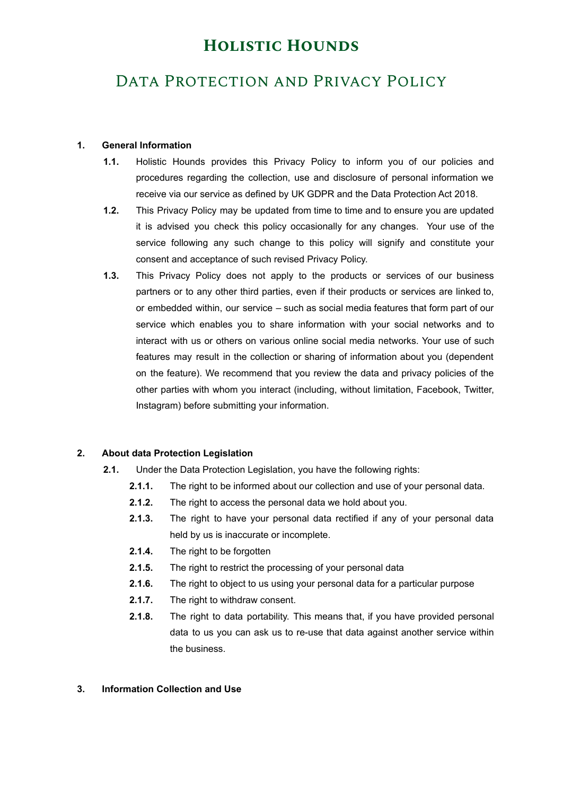## DATA PROTECTION AND PRIVACY POLICY

### **1. General Information**

- **1.1.** Holistic Hounds provides this Privacy Policy to inform you of our policies and procedures regarding the collection, use and disclosure of personal information we receive via our service as defined by UK GDPR and the Data Protection Act 2018.
- **1.2.** This Privacy Policy may be updated from time to time and to ensure you are updated it is advised you check this policy occasionally for any changes. Your use of the service following any such change to this policy will signify and constitute your consent and acceptance of such revised Privacy Policy.
- **1.3.** This Privacy Policy does not apply to the products or services of our business partners or to any other third parties, even if their products or services are linked to, or embedded within, our service – such as social media features that form part of our service which enables you to share information with your social networks and to interact with us or others on various online social media networks. Your use of such features may result in the collection or sharing of information about you (dependent on the feature). We recommend that you review the data and privacy policies of the other parties with whom you interact (including, without limitation, Facebook, Twitter, Instagram) before submitting your information.

### **2. About data Protection Legislation**

- **2.1.** Under the Data Protection Legislation, you have the following rights:
	- **2.1.1.** The right to be informed about our collection and use of your personal data.
	- **2.1.2.** The right to access the personal data we hold about you.
	- **2.1.3.** The right to have your personal data rectified if any of your personal data held by us is inaccurate or incomplete.
	- **2.1.4.** The right to be forgotten
	- **2.1.5.** The right to restrict the processing of your personal data
	- **2.1.6.** The right to object to us using your personal data for a particular purpose
	- **2.1.7.** The right to withdraw consent.
	- **2.1.8.** The right to data portability. This means that, if you have provided personal data to us you can ask us to re-use that data against another service within the business.

### **3. Information Collection and Use**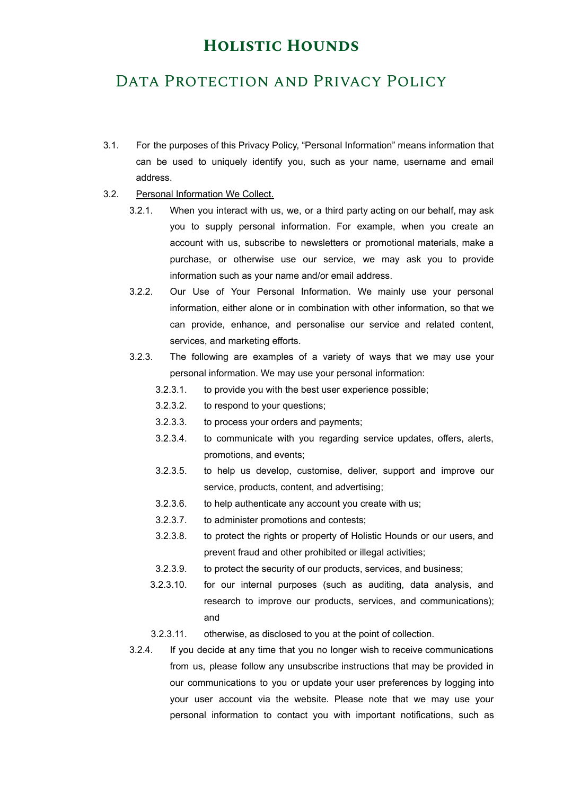## DATA PROTECTION AND PRIVACY POLICY

- 3.1. For the purposes of this Privacy Policy, "Personal Information" means information that can be used to uniquely identify you, such as your name, username and email address.
- 3.2. Personal Information We Collect.
	- 3.2.1. When you interact with us, we, or a third party acting on our behalf, may ask you to supply personal information. For example, when you create an account with us, subscribe to newsletters or promotional materials, make a purchase, or otherwise use our service, we may ask you to provide information such as your name and/or email address.
	- 3.2.2. Our Use of Your Personal Information. We mainly use your personal information, either alone or in combination with other information, so that we can provide, enhance, and personalise our service and related content, services, and marketing efforts.
	- 3.2.3. The following are examples of a variety of ways that we may use your personal information. We may use your personal information:
		- 3.2.3.1. to provide you with the best user experience possible;
		- 3.2.3.2. to respond to your questions;
		- 3.2.3.3. to process your orders and payments;
		- 3.2.3.4. to communicate with you regarding service updates, offers, alerts, promotions, and events;
		- 3.2.3.5. to help us develop, customise, deliver, support and improve our service, products, content, and advertising;
		- 3.2.3.6. to help authenticate any account you create with us;
		- 3.2.3.7. to administer promotions and contests;
		- 3.2.3.8. to protect the rights or property of Holistic Hounds or our users, and prevent fraud and other prohibited or illegal activities;
		- 3.2.3.9. to protect the security of our products, services, and business;
		- 3.2.3.10. for our internal purposes (such as auditing, data analysis, and research to improve our products, services, and communications); and
		- 3.2.3.11. otherwise, as disclosed to you at the point of collection.
	- 3.2.4. If you decide at any time that you no longer wish to receive communications from us, please follow any unsubscribe instructions that may be provided in our communications to you or update your user preferences by logging into your user account via the website. Please note that we may use your personal information to contact you with important notifications, such as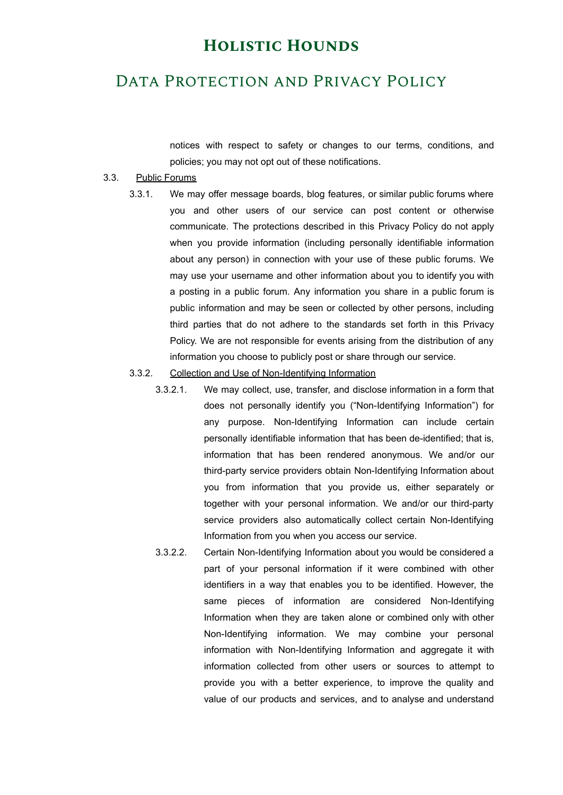### DATA PROTECTION AND PRIVACY POLICY

notices with respect to safety or changes to our terms, conditions, and policies; you may not opt out of these notifications.

#### 3.3. Public Forums

3.3.1. We may offer message boards, blog features, or similar public forums where you and other users of our service can post content or otherwise communicate. The protections described in this Privacy Policy do not apply when you provide information (including personally identifiable information about any person) in connection with your use of these public forums. We may use your username and other information about you to identify you with a posting in a public forum. Any information you share in a public forum is public information and may be seen or collected by other persons, including third parties that do not adhere to the standards set forth in this Privacy Policy. We are not responsible for events arising from the distribution of any information you choose to publicly post or share through our service.

#### 3.3.2. Collection and Use of Non-Identifying Information

- 3.3.2.1. We may collect, use, transfer, and disclose information in a form that does not personally identify you ("Non-Identifying Information") for any purpose. Non-Identifying Information can include certain personally identifiable information that has been de-identified; that is, information that has been rendered anonymous. We and/or our third-party service providers obtain Non-Identifying Information about you from information that you provide us, either separately or together with your personal information. We and/or our third-party service providers also automatically collect certain Non-Identifying Information from you when you access our service.
- 3.3.2.2. Certain Non-Identifying Information about you would be considered a part of your personal information if it were combined with other identifiers in a way that enables you to be identified. However, the same pieces of information are considered Non-Identifying Information when they are taken alone or combined only with other Non-Identifying information. We may combine your personal information with Non-Identifying Information and aggregate it with information collected from other users or sources to attempt to provide you with a better experience, to improve the quality and value of our products and services, and to analyse and understand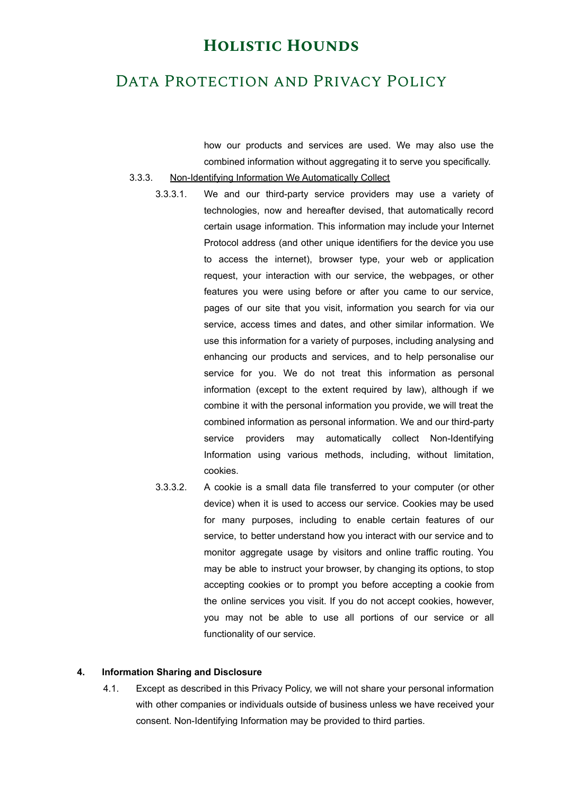## DATA PROTECTION AND PRIVACY POLICY

how our products and services are used. We may also use the combined information without aggregating it to serve you specifically.

- 3.3.3. Non-Identifying Information We Automatically Collect
	- 3.3.3.1. We and our third-party service providers may use a variety of technologies, now and hereafter devised, that automatically record certain usage information. This information may include your Internet Protocol address (and other unique identifiers for the device you use to access the internet), browser type, your web or application request, your interaction with our service, the webpages, or other features you were using before or after you came to our service, pages of our site that you visit, information you search for via our service, access times and dates, and other similar information. We use this information for a variety of purposes, including analysing and enhancing our products and services, and to help personalise our service for you. We do not treat this information as personal information (except to the extent required by law), although if we combine it with the personal information you provide, we will treat the combined information as personal information. We and our third-party service providers may automatically collect Non-Identifying Information using various methods, including, without limitation, cookies.
	- 3.3.3.2. A cookie is a small data file transferred to your computer (or other device) when it is used to access our service. Cookies may be used for many purposes, including to enable certain features of our service, to better understand how you interact with our service and to monitor aggregate usage by visitors and online traffic routing. You may be able to instruct your browser, by changing its options, to stop accepting cookies or to prompt you before accepting a cookie from the online services you visit. If you do not accept cookies, however, you may not be able to use all portions of our service or all functionality of our service.

#### **4. Information Sharing and Disclosure**

4.1. Except as described in this Privacy Policy, we will not share your personal information with other companies or individuals outside of business unless we have received your consent. Non-Identifying Information may be provided to third parties.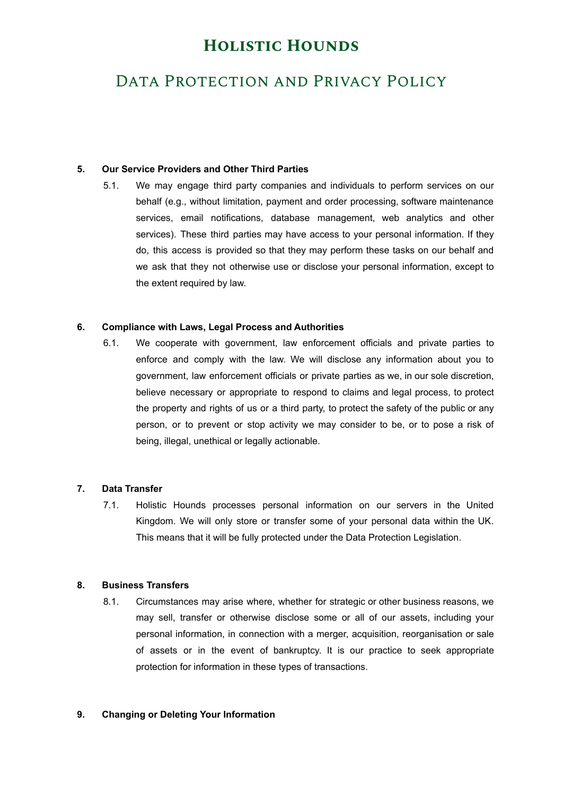# DATA PROTECTION AND PRIVACY POLICY

### **5. Our Service Providers and Other Third Parties**

5.1. We may engage third party companies and individuals to perform services on our behalf (e.g., without limitation, payment and order processing, software maintenance services, email notifications, database management, web analytics and other services). These third parties may have access to your personal information. If they do, this access is provided so that they may perform these tasks on our behalf and we ask that they not otherwise use or disclose your personal information, except to the extent required by law.

### **6. Compliance with Laws, Legal Process and Authorities**

6.1. We cooperate with government, law enforcement officials and private parties to enforce and comply with the law. We will disclose any information about you to government, law enforcement officials or private parties as we, in our sole discretion, believe necessary or appropriate to respond to claims and legal process, to protect the property and rights of us or a third party, to protect the safety of the public or any person, or to prevent or stop activity we may consider to be, or to pose a risk of being, illegal, unethical or legally actionable.

### **7. Data Transfer**

7.1. Holistic Hounds processes personal information on our servers in the United Kingdom. We will only store or transfer some of your personal data within the UK. This means that it will be fully protected under the Data Protection Legislation.

### **8. Business Transfers**

8.1. Circumstances may arise where, whether for strategic or other business reasons, we may sell, transfer or otherwise disclose some or all of our assets, including your personal information, in connection with a merger, acquisition, reorganisation or sale of assets or in the event of bankruptcy. It is our practice to seek appropriate protection for information in these types of transactions.

### **9. Changing or Deleting Your Information**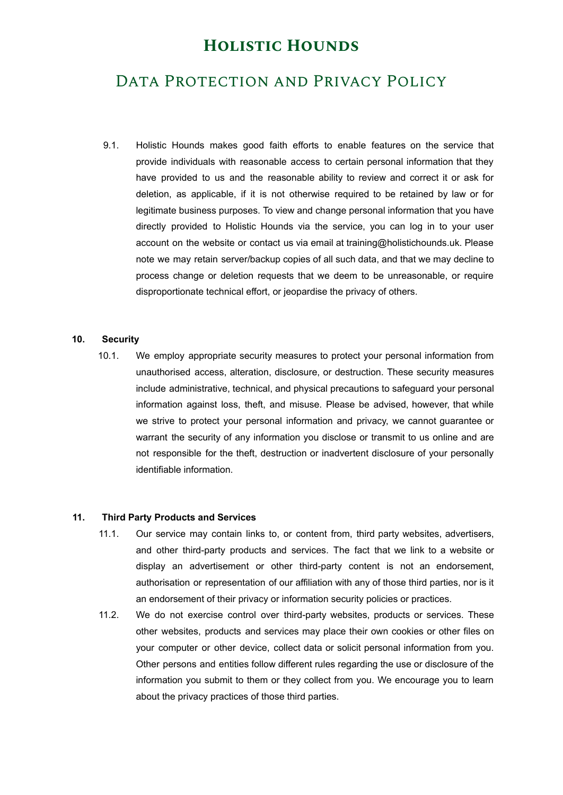## DATA PROTECTION AND PRIVACY POLICY

9.1. Holistic Hounds makes good faith efforts to enable features on the service that provide individuals with reasonable access to certain personal information that they have provided to us and the reasonable ability to review and correct it or ask for deletion, as applicable, if it is not otherwise required to be retained by law or for legitimate business purposes. To view and change personal information that you have directly provided to Holistic Hounds via the service, you can log in to your user account on the website or contact us via email at training@holistichounds.uk. Please note we may retain server/backup copies of all such data, and that we may decline to process change or deletion requests that we deem to be unreasonable, or require disproportionate technical effort, or jeopardise the privacy of others.

#### **10. Security**

10.1. We employ appropriate security measures to protect your personal information from unauthorised access, alteration, disclosure, or destruction. These security measures include administrative, technical, and physical precautions to safeguard your personal information against loss, theft, and misuse. Please be advised, however, that while we strive to protect your personal information and privacy, we cannot guarantee or warrant the security of any information you disclose or transmit to us online and are not responsible for the theft, destruction or inadvertent disclosure of your personally identifiable information.

#### **11. Third Party Products and Services**

- 11.1. Our service may contain links to, or content from, third party websites, advertisers, and other third-party products and services. The fact that we link to a website or display an advertisement or other third-party content is not an endorsement, authorisation or representation of our affiliation with any of those third parties, nor is it an endorsement of their privacy or information security policies or practices.
- 11.2. We do not exercise control over third-party websites, products or services. These other websites, products and services may place their own cookies or other files on your computer or other device, collect data or solicit personal information from you. Other persons and entities follow different rules regarding the use or disclosure of the information you submit to them or they collect from you. We encourage you to learn about the privacy practices of those third parties.